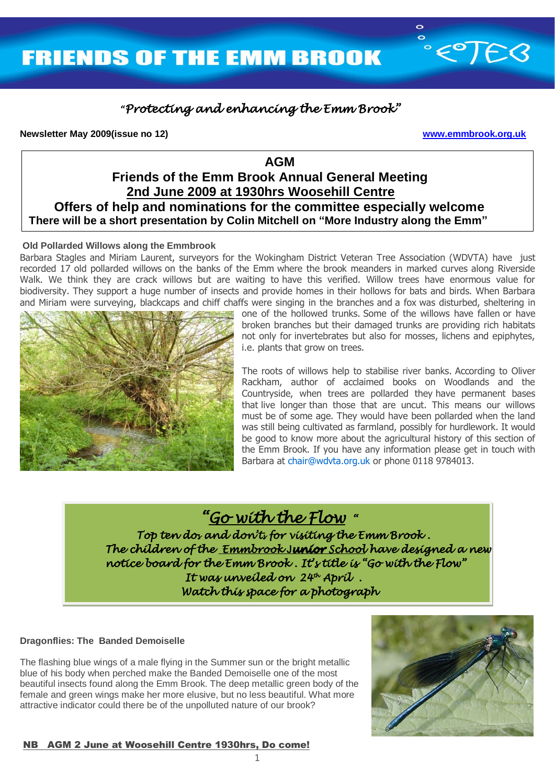

## **"***Protecting and enhancing the Emm Brook"*

### **Newsletter May 2009(issue no 12) www.emmbrook.org.uk**

## *AGM* AGM  **Friends of the Emm Brook Annual General Meeting 2nd June 2009 at 1930hrs Woosehill Centre**

 **Offers of help and nominations for the committee especially welcome There will be a short presentation by Colin Mitchell on "More Industry along the Emm"**

#### Ξ **Old Pollarded Willows along the Emmbrook**

Barbara Stagles and Miriam Laurent, surveyors for the Wokingham District Veteran Tree Association (WDVTA) have just recorded 17 old pollarded willows on the banks of the Emm where the brook meanders in marked curves along Riverside Walk. We think they are crack willows but are waiting to have this verified. Willow trees have enormous value for biodiversity. They support a huge number of insects and provide homes in their hollows for bats and birds. When Barbara and Miriam were surveying, blackcaps and chiff chaffs were singing in the branches and a fox was disturbed, sheltering in



one of the hollowed trunks. Some of the willows have fallen or have broken branches but their damaged trunks are providing rich habitats not only for invertebrates but also for mosses, lichens and epiphytes, i.e. plants that grow on trees.

The roots of willows help to stabilise river banks. According to Oliver Rackham, author of acclaimed books on Woodlands and the Countryside, when trees are pollarded they have permanent bases that live longer than those that are uncut. This means our willows must be of some age. They would have been pollarded when the land was still being cultivated as farmland, possibly for hurdlework. It would be good to know more about the agricultural history of this section of the Emm Brook. If you have any information please get in touch with Barbara at chair@wdvta.org.uk or phone 0118 9784013.

# *"Go with the Flow "*

 *Top ten dos and don'ts for visiting the Emm Brook . notice board for the Emm Brook . It's title is "Go with the Flow" It was unveiled on 24th April . Watch this space for a photograph The children of the Emmbrook* J*unior School have designed a new* 

### **Dragonflies: The Banded Demoiselle**

The flashing blue wings of a male flying in the Summer sun or the bright metallic blue of his body when perched make the Banded Demoiselle one of the most beautiful insects found along the Emm Brook. The deep metallic green body of the female and green wings make her more elusive, but no less beautiful. What more attractive indicator could there be of the unpolluted nature of our brook?